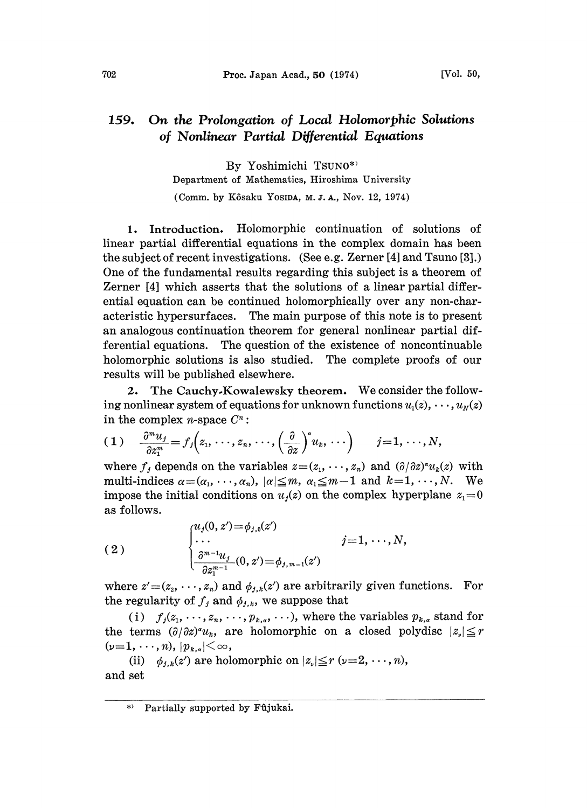## 159. On the Prolongation of Local Holomorphic Solutions of Nonlinear Partial Differential Equations

By Yoshimichi TSUN0\*) Department of Mathematics, Hiroshima University (Comm. by Kôsaku Yosipa, M.J.A., Nov. 12, 1974)

1. Introduction. Holomorphic continuation of solutions of linear partial differential equations in the complex domain has been the subject of recent investigations. (See e.g. Zerner [4] and Tsuno [3].) One of the fundamental results regarding this subject is a theorem of Zerner [4] which asserts that the solutions of a linear partial differential equation can be continued holomorphically over any non-characteristic hypersurfaces. The main purpose of this note is to present an analogous continuation theorem for general nonlinear partial differential equations. The question of the existence of noncontinuable holomorphic solutions is also studied. The complete proofs of our results will be published elsewhere.

2. The Cauchy,Kowalewsky theorem. We consider the following nonlinear system of equations for unknown functions  $u_1(z), \dots, u_N(z)$ in the complex *n*-space  $C^n$ :

$$
(1) \quad \frac{\partial^m u_j}{\partial z_1^m}=f_j\Big(z_1,\,\cdots,\,z_n,\,\cdots,\left(\frac{\partial}{\partial z}\right)^s u_k,\,\cdots\Big)\qquad j=1,\,\cdots,N,
$$

where  $f_j$  depends on the variables  $z=(z_1,\dots, z_n)$  and  $(\partial/\partial z)^{\alpha}u_k(z)$  with multi-indices  $\alpha = (\alpha_1, \dots, \alpha_n)$ ,  $|\alpha| \leq m$ ,  $\alpha_1 \leq m-1$  and  $k=1, \dots, N$ . We impose the initial conditions on  $u_j(z)$  on the complex hyperplane  $z_1=0$ as follows.

(2)  
\n
$$
\begin{cases}\nu_j(0, z') = \phi_{j,0}(z') & j=1, \dots, N, \\
\vdots & \vdots \\
\frac{\partial^{m-1} u_j}{\partial z_1^{m-1}}(0, z') = \phi_{j,m-1}(z') & \text{where } z' = (z_2, \dots, z_n) \text{ and } \phi_{j,k}(z') \text{ are arbitrarily given functions. For}\n\end{cases}
$$

the regularity of  $f_j$  and  $\phi_{j,k}$ , we suppose that

(i)  $f_j(z_1,\ldots,z_n,\ldots,p_{k,\alpha},\ldots)$ , where the variables  $p_{k,\alpha}$  stand for the terms  $(\partial/\partial z)^{\alpha}u_k$ , are holomorphic on a closed polydisc  $|z_k| \leq r$  $(p=1,\dots, n), |p_{k,a}| < \infty$ ,

(ii)  $\phi_{j,k}(z')$  are holomorphic on  $|z| \leq r \ (\nu=2, \dots, n),$ and set

<sup>\*&</sup>gt; Partially supported by Fûjukai.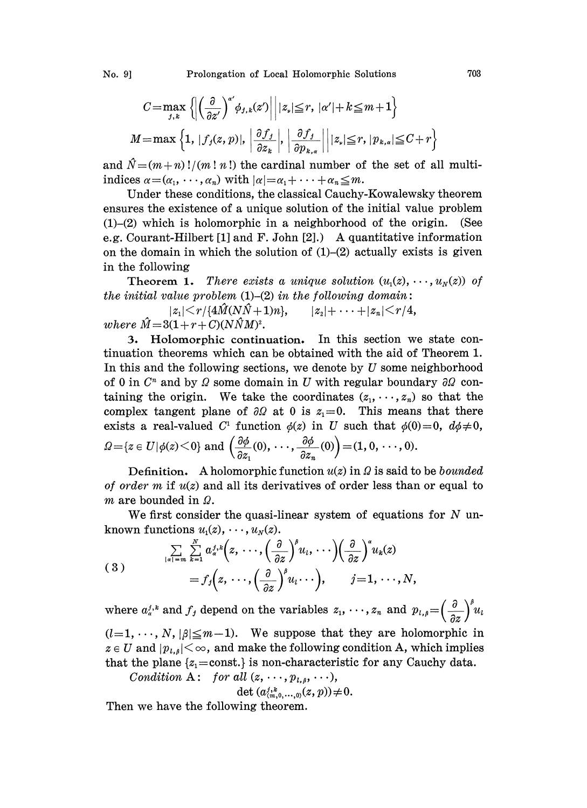No. 9] Prolongation of Local Holomorphic Solutions 703

$$
C = \max_{j,k} \left\{ \left| \left( \frac{\partial}{\partial z'} \right)^{\alpha'} \phi_{j,k}(z') \right| \middle| |z_{\nu}| \leqq r, |\alpha'| + k \leqq m+1 \right\}
$$
  

$$
M = \max \left\{ 1, |f_j(z, p)|, \left| \frac{\partial f_j}{\partial z_k} \right|, \left| \frac{\partial f_j}{\partial p_{k,\alpha}} \right| \middle| |z_{\nu}| \leqq r, |p_{k,\alpha}| \leqq C + r \right\}
$$

and  $\hat{N}=(m+n)!/(m! n!)$  the cardinal number of the set of all multiindices  $\alpha = (\alpha_1, \dots, \alpha_n)$  with  $|\alpha| = \alpha_1 + \dots + \alpha_n \leq m$ .

Under these conditions, the classical Cauchy-Kowalewsky theorem ensures the existence of a unique solution of the initial value problem  $(1)$ - $(2)$  which is holomorphic in a neighborhood of the origin. (See e.g. Courant-Hilbert [1] and F. John [2].) A quantitative information on the domain in which the solution of  $(1)$ – $(2)$  actually exists is given in the following

**Theorem 1.** There exists a unique solution  $(u_1(z), \dots, u_n(z))$  of the initial value problem  $(1)$ - $(2)$  in the following domain:

 $|z_1| \le r/\{4\hat{M}(N\hat{N}+1)n\}, \qquad |z_2| + \cdots + |z_n| \le r/4,$ where  $\hat{M} = 3(1 + r + C)(N\hat{N}M)^2$ .

. Holomorphic continuation. In this section we state continuation theorems which can be obtained with the aid of Theorem 1. In this and the following sections, we denote by  $U$  some neighborhood of 0 in  $C<sup>n</sup>$  and by  $\Omega$  some domain in U with regular boundary  $\partial\Omega$  containing the origin. We take the coordinates  $(z_1, \dots, z_n)$  so that the complex tangent plane of  $\partial\Omega$  at 0 is  $z_1=0$ . This means that there exists a real-valued  $C^1$  function  $\phi(z)$  in U such that  $\phi(0)=0$ ,  $d\phi\neq0$ ,  $\Omega = \{z \in U | \phi(z) \leq 0\}$  and  $\left(\frac{\partial \phi}{\partial z_1}(0), \cdots, \frac{\partial \phi}{\partial z_n}(0)\right) = (1, 0, \cdots, 0).$ 

Definition. A holomorphic function  $u(z)$  in  $\Omega$  is said to be *bounded* of order m if  $u(z)$  and all its derivatives of order less than or equal to m are bounded in  $\Omega$ .

We first consider the quasi-linear system of equations for  $N$  unknown functions  $u_1(z), \dots, u_N(z)$ .

(3) 
$$
\sum_{|a|=m} \sum_{k=1}^{N} a_{\alpha}^{j,k} (z, \cdots, \left(\frac{\partial}{\partial z}\right)^{\beta} u_i, \cdots) \left(\frac{\partial}{\partial z}\right)^{s} u_k(z) = f_j(z, \cdots, \left(\frac{\partial}{\partial z}\right)^{\beta} u_i \cdots), \qquad j=1, \cdots, N,
$$

where  $a_n^{j,k}$  and  $f_j$  depend on the variables  $z_1, \dots, z_n$  and  $p_{l,\beta} = \left(\frac{\partial}{\partial z}\right)^{\beta} u_l$  $(l=1, \dots, N, |\beta| \leq m-1$ ). We suppose that they are holomorphic in  $z \in U$  and  $|p_{i,s}| < \infty$ , and make the following condition A, which implies that the plane  $\{z_1=\text{const.}\}\$ is non-characteristic for any Cauchy data.

Condition A: for all 
$$
(z, \dots, p_{l,\beta}, \dots)
$$
,

det  $(a_{(m,0, \ldots, 0)}^{j,k}(z, p)) \neq 0.$ 

Then we have the following theorem.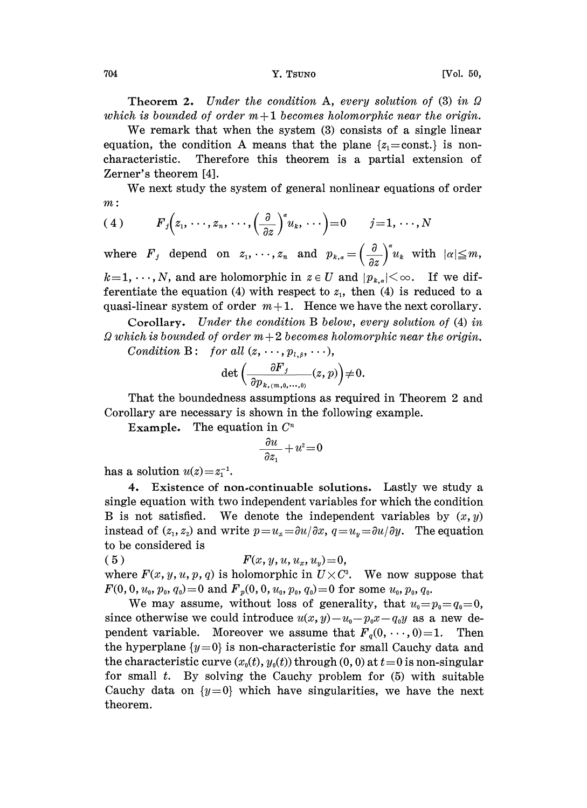## 704 Y. TSUNO [Vol. 50,

Theorem 2. Under the condition A, every solution of  $(3)$  in  $\Omega$ which is bounded of order  $m+1$  becomes holomorphic near the origin.

We remark that when the system  $(3)$  consists of a single linear equation, the condition A means that the plane  $\{z_1 = \text{const.}\}\$ is noncharacteristic. Therefore this theorem is a partial extension of Zerner's theorem [4].

We next study the system of general nonlinear equations of order m:

$$
(4) \tF_j(z_1,\dots,z_n,\dots,\left(\frac{\partial}{\partial z}\right)^{\alpha}u_k,\dots)=0 \t j=1,\dots,N
$$

 $k=1,\dots, N$ , and are holomorphic in  $z \in U$  and  $|p_{k,q}| < \infty$ . If we dif-

where  $F_j$  depend on  $z_1, \dots, z_n$  and  $p_{k,\alpha} = \left(\frac{\partial}{\partial z}\right)^{\alpha} u_k$  with  $k=1,\dots,N$ , and are holomorphic in  $z \in U$  and  $|p_{k,\alpha}| < \infty$ . If ferentiate the equation (4) with respect to  $z_1$ , then (4) is reduquasi-linear system of ferentiate the equation (4) with respect to  $z_1$ , then (4) is reduced to a quasi-linear system of order  $m+1$ . Hence we have the next corollary.

Corollary. Under the condition B below, every solution of (4) in  $\Omega$  which is bounded of order  $m+2$  becomes holomorphic near the origin. Condition B: for all  $(z, \ldots, p, \ldots)$ 

$$
\det\left(\frac{\partial F_j}{\partial p_{k,(m,0,\dots,0)}}(z,p)\right)\neq 0.
$$

That the boundedness assumptions as required in Theorem 2 and Corollary are necessary is shown in the following example.

Example. The equation in  $C<sup>n</sup>$ 

$$
\frac{\partial u}{\partial z_1} + u^2 = 0
$$

has a solution  $u(z)=z_1^{-1}$ .

4, Existence of non.continuable solutions. Lastly we study a single equation with two independent variables for which the condition B is not satisfied. We denote the independent variables by  $(x, y)$ instead of  $(z_1, z_2)$  and write  $p=u_x=\partial u/\partial x$ ,  $q=u_y=\partial u/\partial y$ . The equation to be considered is

( 5 )  $F(x, y, u, u_x, u_y)=0,$ where  $F(x, y, u, p, q)$  is holomorphic in  $U \times C<sup>3</sup>$ . We now suppose that  $F(0, 0, u_0, p_0, q_0) = 0$  and  $F_p(0, 0, u_0, p_0, q_0) = 0$  for some  $u_0, p_0, q_0$ .

We may assume, without loss of generality, that  $u_0=p_0=q_0=0$ , since otherwise we could introduce  $u(x, y)-u_0-p_0x-q_0y$  as a new dependent variable. Moreover we assume that  $F_q(0, \dots, 0) = 1$ . Then the hyperplane  $\{y=0\}$  is non-characteristic for small Cauchy data and the characteristic curve  $(x_0(t), y_0(t))$  through  $(0, 0)$  at  $t=0$  is non-singular for small  $t$ . By solving the Cauchy problem for  $(5)$  with suitable Cauchy data on  $\{y=0\}$  which have singularities, we have the next theorem.